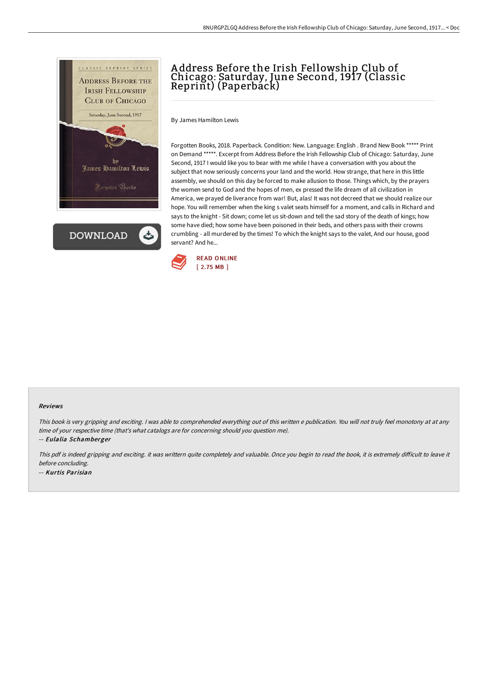

**DOWNLOAD** 

## A ddress Before the Irish Fellowship Club of Chicago: Saturday, June Second, 1917 (Classic Reprint) (Paperback)

By James Hamilton Lewis

Forgotten Books, 2018. Paperback. Condition: New. Language: English . Brand New Book \*\*\*\*\* Print on Demand \*\*\*\*\*. Excerpt from Address Before the Irish Fellowship Club of Chicago: Saturday, June Second, 1917 I would like you to bear with me while I have a conversation with you about the subject that now seriously concerns your land and the world. How strange, that here in this little assembly, we should on this day be forced to make allusion to those. Things which, by the prayers the women send to God and the hopes of men, ex pressed the life dream of all civilization in America, we prayed de liverance from war! But, alas! It was not decreed that we should realize our hope. You will remember when the king s valet seats himself for a moment, and calls in Richard and says to the knight - Sit down; come let us sit-down and tell the sad story of the death of kings; how some have died; how some have been poisoned in their beds, and others pass with their crowns crumbling - all murdered by the times! To which the knight says to the valet, And our house, good servant? And he...



## Reviews

This book is very gripping and exciting. <sup>I</sup> was able to comprehended everything out of this written <sup>e</sup> publication. You will not truly feel monotony at at any time of your respective time (that's what catalogs are for concerning should you question me).

-- Eulalia Schamberger

This pdf is indeed gripping and exciting, it was writtern quite completely and valuable. Once you begin to read the book, it is extremely difficult to leave it before concluding. -- Kurtis Parisian